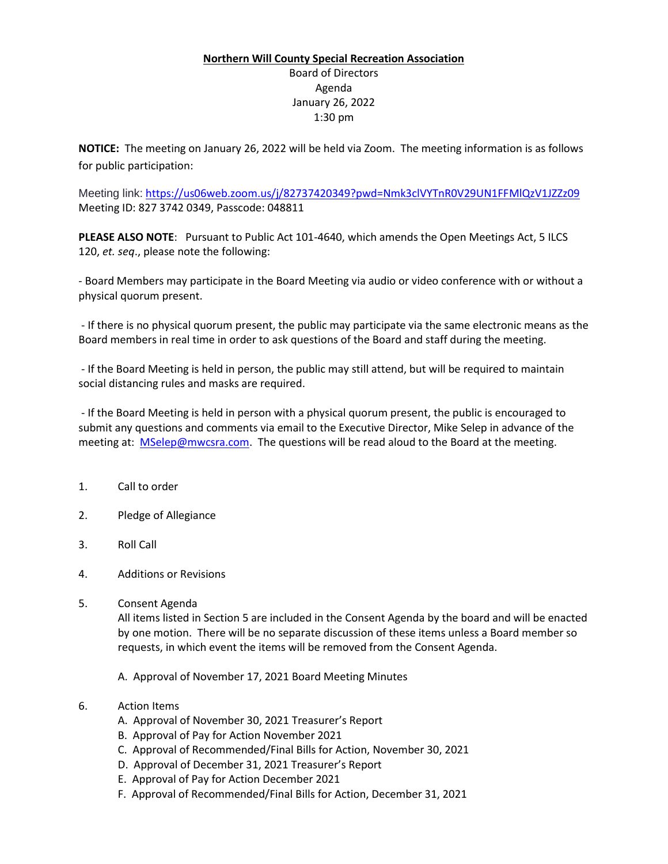## **Northern Will County Special Recreation Association** Board of Directors Agenda January 26, 2022 1:30 pm

**NOTICE:** The meeting on January 26, 2022 will be held via Zoom. The meeting information is as follows for public participation:

Meeting link: <https://us06web.zoom.us/j/82737420349?pwd=Nmk3clVYTnR0V29UN1FFMlQzV1JZZz09> Meeting ID: 827 3742 0349, Passcode: 048811

**PLEASE ALSO NOTE**: Pursuant to Public Act 101-4640, which amends the Open Meetings Act, 5 ILCS 120, *et. seq*., please note the following:

- Board Members may participate in the Board Meeting via audio or video conference with or without a physical quorum present.

- If there is no physical quorum present, the public may participate via the same electronic means as the Board members in real time in order to ask questions of the Board and staff during the meeting.

- If the Board Meeting is held in person, the public may still attend, but will be required to maintain social distancing rules and masks are required.

- If the Board Meeting is held in person with a physical quorum present, the public is encouraged to submit any questions and comments via email to the Executive Director, Mike Selep in advance of the meeting at: [MSelep@mwcsra.com.](mailto:MSelep@mwcsra.com) The questions will be read aloud to the Board at the meeting.

- 1. Call to order
- 2. Pledge of Allegiance
- 3. Roll Call
- 4. Additions or Revisions
- 5. Consent Agenda

All items listed in Section 5 are included in the Consent Agenda by the board and will be enacted by one motion. There will be no separate discussion of these items unless a Board member so requests, in which event the items will be removed from the Consent Agenda.

- A. Approval of November 17, 2021 Board Meeting Minutes
- 6. Action Items
	- A. Approval of November 30, 2021 Treasurer's Report
	- B. Approval of Pay for Action November 2021
	- C. Approval of Recommended/Final Bills for Action, November 30, 2021
	- D. Approval of December 31, 2021 Treasurer's Report
	- E. Approval of Pay for Action December 2021
	- F. Approval of Recommended/Final Bills for Action, December 31, 2021